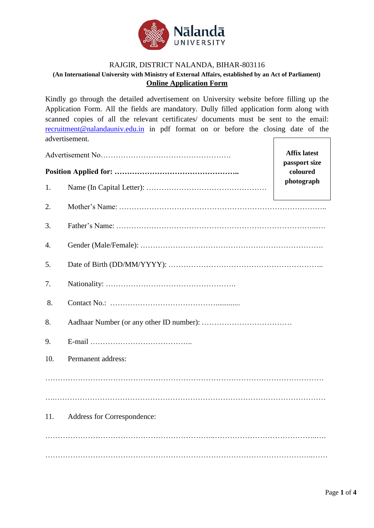

## RAJGIR, DISTRICT NALANDA, BIHAR-803116 **(An International University with Ministry of External Affairs, established by an Act of Parliament) Online Application Form**

Kindly go through the detailed advertisement on University website before filling up the Application Form. All the fields are mandatory. Dully filled application form along with scanned copies of all the relevant certificates/ documents must be sent to the email: [recruitment@nalandauniv.edu.in](mailto:recruitment@nalandauniv.edu.in) in pdf format on or before the closing date of the advertisement.

|     | <b>Affix latest</b><br>passport size |            |  |  |  |  |
|-----|--------------------------------------|------------|--|--|--|--|
|     | coloured                             |            |  |  |  |  |
| 1.  |                                      | photograph |  |  |  |  |
| 2.  |                                      |            |  |  |  |  |
| 3.  |                                      |            |  |  |  |  |
| 4.  |                                      |            |  |  |  |  |
| 5.  |                                      |            |  |  |  |  |
| 7.  |                                      |            |  |  |  |  |
| 8.  |                                      |            |  |  |  |  |
| 8.  |                                      |            |  |  |  |  |
| 9.  |                                      |            |  |  |  |  |
| 10. | Permanent address:                   |            |  |  |  |  |
|     |                                      |            |  |  |  |  |
|     |                                      |            |  |  |  |  |
| 11. | Address for Correspondence:          |            |  |  |  |  |
|     |                                      |            |  |  |  |  |
|     |                                      |            |  |  |  |  |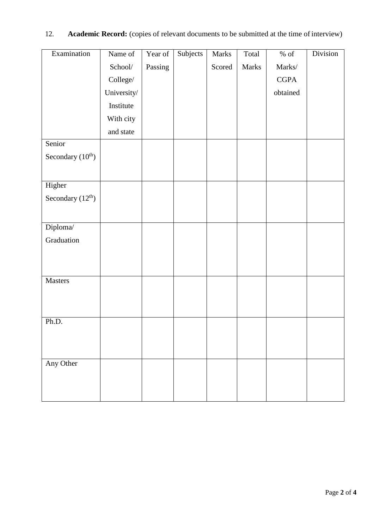| Examination        | Name of     | Year of | Subjects | Marks  | Total | $\%$ of     | Division |
|--------------------|-------------|---------|----------|--------|-------|-------------|----------|
|                    | School/     | Passing |          | Scored | Marks | Marks/      |          |
|                    | College/    |         |          |        |       | <b>CGPA</b> |          |
|                    | University/ |         |          |        |       | obtained    |          |
|                    | Institute   |         |          |        |       |             |          |
|                    | With city   |         |          |        |       |             |          |
|                    | and state   |         |          |        |       |             |          |
| Senior             |             |         |          |        |       |             |          |
| Secondary $(10th)$ |             |         |          |        |       |             |          |
|                    |             |         |          |        |       |             |          |
| Higher             |             |         |          |        |       |             |          |
| Secondary $(12th)$ |             |         |          |        |       |             |          |
|                    |             |         |          |        |       |             |          |
| Diploma/           |             |         |          |        |       |             |          |
| Graduation         |             |         |          |        |       |             |          |
|                    |             |         |          |        |       |             |          |
|                    |             |         |          |        |       |             |          |
| Masters            |             |         |          |        |       |             |          |
|                    |             |         |          |        |       |             |          |
|                    |             |         |          |        |       |             |          |
| Ph.D.              |             |         |          |        |       |             |          |
|                    |             |         |          |        |       |             |          |
|                    |             |         |          |        |       |             |          |
| Any Other          |             |         |          |        |       |             |          |
|                    |             |         |          |        |       |             |          |
|                    |             |         |          |        |       |             |          |
|                    |             |         |          |        |       |             |          |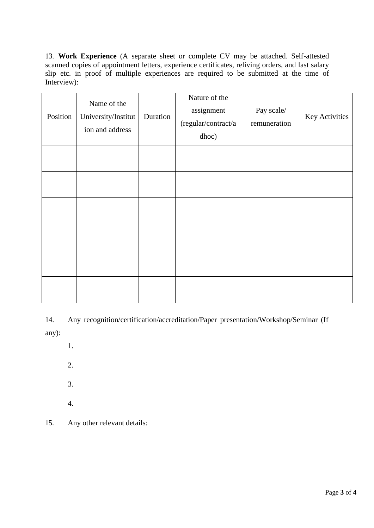13. **Work Experience** (A separate sheet or complete CV may be attached. Self-attested scanned copies of appointment letters, experience certificates, reliving orders, and last salary slip etc. in proof of multiple experiences are required to be submitted at the time of Interview):

| Position | Name of the<br>University/Institut<br>ion and address | Duration | Nature of the<br>assignment<br>(regular/contract/a<br>dhoc) | Pay scale/<br>remuneration | Key Activities |
|----------|-------------------------------------------------------|----------|-------------------------------------------------------------|----------------------------|----------------|
|          |                                                       |          |                                                             |                            |                |
|          |                                                       |          |                                                             |                            |                |
|          |                                                       |          |                                                             |                            |                |
|          |                                                       |          |                                                             |                            |                |
|          |                                                       |          |                                                             |                            |                |
|          |                                                       |          |                                                             |                            |                |

14. Any recognition/certification/accreditation/Paper presentation/Workshop/Seminar (If any):

- 1.
- 2.
- 3.
- 4.

15. Any other relevant details: